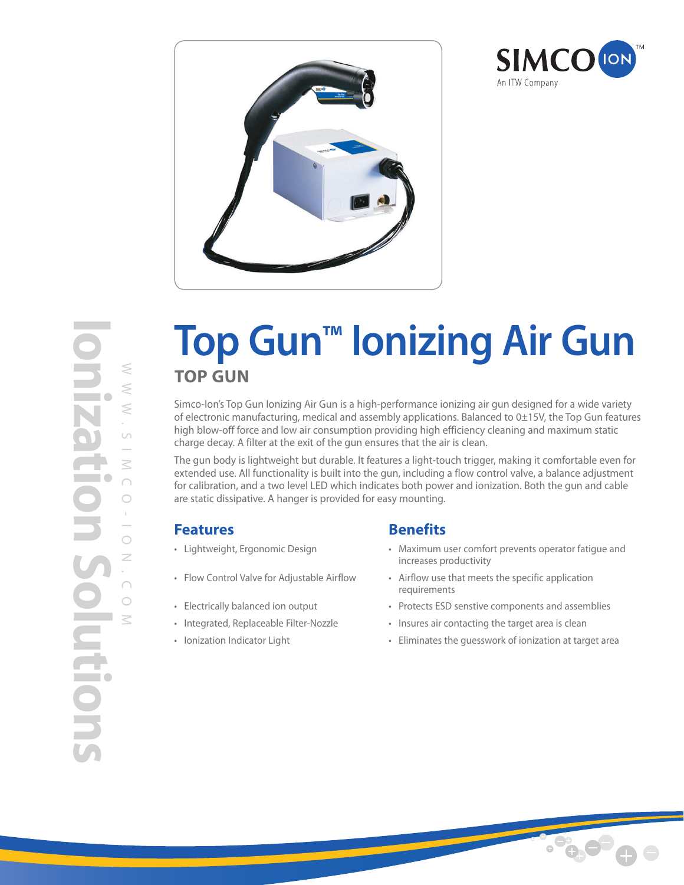



# **Top Gun™ Ionizing Air Gun TOP GUN**

Simco-Ion's Top Gun Ionizing Air Gun is a high-performance ionizing air gun designed for a wide variety of electronic manufacturing, medical and assembly applications. Balanced to 0±15V, the Top Gun features high blow-off force and low air consumption providing high efficiency cleaning and maximum static charge decay. A filter at the exit of the gun ensures that the air is clean.

The gun body is lightweight but durable. It features a light-touch trigger, making it comfortable even for extended use. All functionality is built into the gun, including a flow control valve, a balance adjustment for calibration, and a two level LED which indicates both power and ionization. Both the gun and cable are static dissipative. A hanger is provided for easy mounting.

# **Features Benefits**

- 
- 
- 
- 
- 

- Lightweight, Ergonomic Design Maximum user comfort prevents operator fatigue and increases productivity
- Flow Control Valve for Adjustable Airflow Airflow use that meets the specific application requirements
- Electrically balanced ion output Protects ESD senstive components and assemblies
- Integrated, Replaceable Filter-Nozzle Insures air contacting the target area is clean
- Ionization Indicator Light **Eliminates the guesswork of ionization at target area**